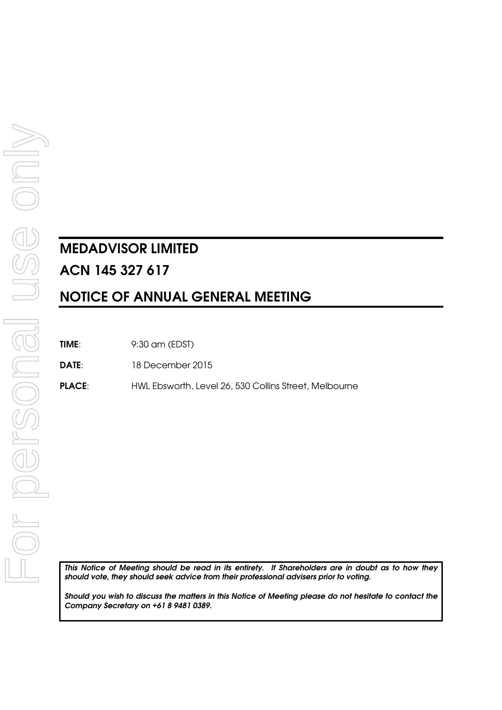# **MEDADVISOR LIMITED ACN 145 327 617 NOTICE OF ANNUAL GENERAL MEETING**

**TIME**: 9:30 am (EDST)

**DATE**: 18 December 2015

**PLACE**: HWL Ebsworth, Level 26, 530 Collins Street, Melbourne

*This Notice of Meeting should be read in its entirety. If Shareholders are in doubt as to how they should vote, they should seek advice from their professional advisers prior to voting.* 

*Should you wish to discuss the matters in this Notice of Meeting please do not hesitate to contact the Company Secretary on +61 8 9481 0389.*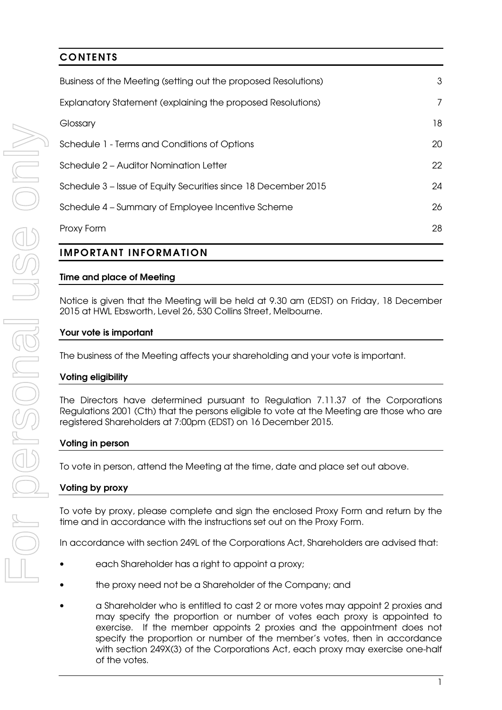## **CONTENTS**  Business of the Meeting (setting out the proposed Resolutions) 3 Explanatory Statement (explaining the proposed Resolutions) 7 Glossary **18** Schedule 1 - Terms and Conditions of Options 20 Schedule 2 – Auditor Nomination Letter 22 Schedule 3 – Issue of Equity Securities since 18 December 2015 24 Schedule 4 – Summary of Employee Incentive Scheme 26 Proxy Form 28

## **IMPORTANT INFORMATION**

## **Time and place of Meeting**

Notice is given that the Meeting will be held at 9.30 am (EDST) on Friday, 18 December 2015 at HWL Ebsworth, Level 26, 530 Collins Street, Melbourne.

## **Your vote is important**

The business of the Meeting affects your shareholding and your vote is important.

#### **Voting eligibility**

The Directors have determined pursuant to Regulation 7.11.37 of the Corporations Regulations 2001 (Cth) that the persons eligible to vote at the Meeting are those who are registered Shareholders at 7:00pm (EDST) on 16 December 2015.

#### **Voting in person**

To vote in person, attend the Meeting at the time, date and place set out above.

## **Voting by proxy**

To vote by proxy, please complete and sign the enclosed Proxy Form and return by the time and in accordance with the instructions set out on the Proxy Form.

In accordance with section 249L of the Corporations Act, Shareholders are advised that:

- each Shareholder has a right to appoint a proxy;
- the proxy need not be a Shareholder of the Company; and
- a Shareholder who is entitled to cast 2 or more votes may appoint 2 proxies and may specify the proportion or number of votes each proxy is appointed to exercise. If the member appoints 2 proxies and the appointment does not specify the proportion or number of the member's votes, then in accordance with section 249X(3) of the Corporations Act, each proxy may exercise one-half of the votes.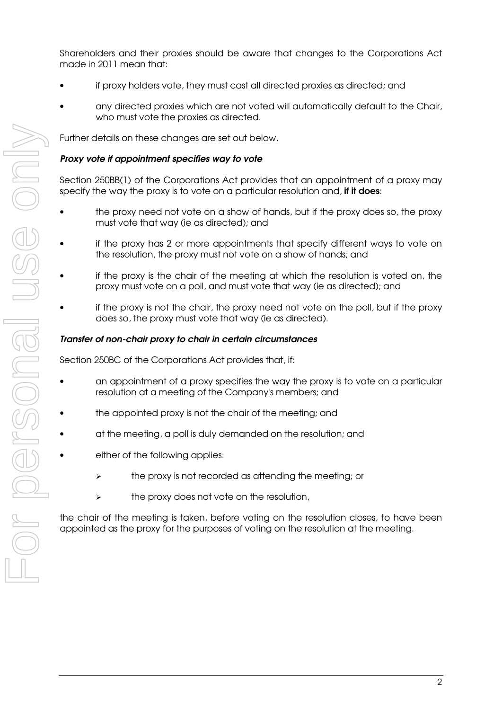Shareholders and their proxies should be aware that changes to the Corporations Act made in 2011 mean that:

- if proxy holders vote, they must cast all directed proxies as directed; and
- any directed proxies which are not voted will automatically default to the Chair, who must vote the proxies as directed.

Further details on these changes are set out below.

#### *Proxy vote if appointment specifies way to vote*

Section 250BB(1) of the Corporations Act provides that an appointment of a proxy may specify the way the proxy is to vote on a particular resolution and, **if it does**:

- the proxy need not vote on a show of hands, but if the proxy does so, the proxy must vote that way (ie as directed); and
- if the proxy has 2 or more appointments that specify different ways to vote on the resolution, the proxy must not vote on a show of hands; and
- if the proxy is the chair of the meeting at which the resolution is voted on, the proxy must vote on a poll, and must vote that way (ie as directed); and
- if the proxy is not the chair, the proxy need not vote on the poll, but if the proxy does so, the proxy must vote that way (ie as directed).

#### *Transfer of non-chair proxy to chair in certain circumstances*

Section 250BC of the Corporations Act provides that, if:

- an appointment of a proxy specifies the way the proxy is to vote on a particular resolution at a meeting of the Company's members; and
- the appointed proxy is not the chair of the meeting; and
- at the meeting, a poll is duly demanded on the resolution; and
- either of the following applies:
	- the proxy is not recorded as attending the meeting; or
	- $\triangleright$  the proxy does not vote on the resolution,

the chair of the meeting is taken, before voting on the resolution closes, to have been appointed as the proxy for the purposes of voting on the resolution at the meeting.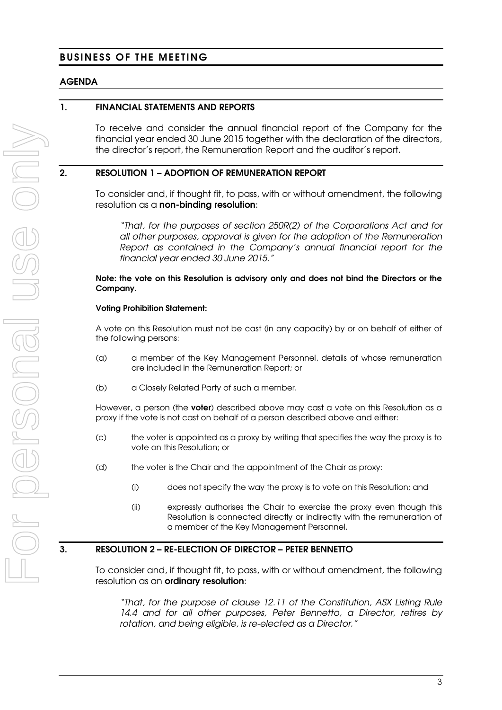## **BUSINESS OF THE MEETING**

## **AGENDA**

#### **1. FINANCIAL STATEMENTS AND REPORTS**

To receive and consider the annual financial report of the Company for the financial year ended 30 June 2015 together with the declaration of the directors, the director's report, the Remuneration Report and the auditor's report.

#### **2. RESOLUTION 1 – ADOPTION OF REMUNERATION REPORT**

To consider and, if thought fit, to pass, with or without amendment, the following resolution as a **non-binding resolution**:

"That, for the purposes of section 250R(2) of the Corporations Act and for all other purposes, approval is given for the adoption of the Remuneration Report as contained in the Company's annual financial report for the financial year ended 30 June 2015."

#### **Note: the vote on this Resolution is advisory only and does not bind the Directors or the Company.**

#### **Voting Prohibition Statement:**

A vote on this Resolution must not be cast (in any capacity) by or on behalf of either of the following persons:

- (a) a member of the Key Management Personnel, details of whose remuneration are included in the Remuneration Report; or
- (b) a Closely Related Party of such a member.

However, a person (the **voter**) described above may cast a vote on this Resolution as a proxy if the vote is not cast on behalf of a person described above and either:

- (c) the voter is appointed as a proxy by writing that specifies the way the proxy is to vote on this Resolution; or
- (d) the voter is the Chair and the appointment of the Chair as proxy:
	- (i) does not specify the way the proxy is to vote on this Resolution; and
	- (ii) expressly authorises the Chair to exercise the proxy even though this Resolution is connected directly or indirectly with the remuneration of a member of the Key Management Personnel.

## **3. RESOLUTION 2 – RE-ELECTION OF DIRECTOR – PETER BENNETTO**

To consider and, if thought fit, to pass, with or without amendment, the following resolution as an **ordinary resolution**:

"That, for the purpose of clause 12.11 of the Constitution, ASX Listing Rule 14.4 and for all other purposes, Peter Bennetto, a Director, retires by rotation, and being eligible, is re-elected as a Director."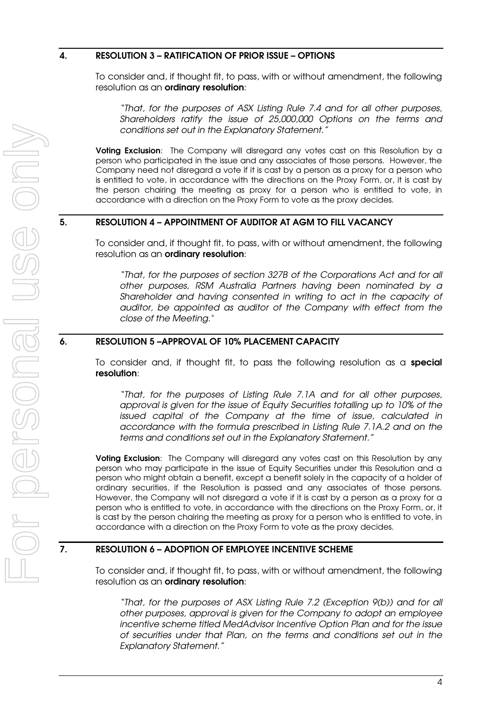#### **4. RESOLUTION 3 – RATIFICATION OF PRIOR ISSUE – OPTIONS**

To consider and, if thought fit, to pass, with or without amendment, the following resolution as an **ordinary resolution**:

"That, for the purposes of ASX Listing Rule 7.4 and for all other purposes, Shareholders ratify the issue of 25,000,000 Options on the terms and conditions set out in the Explanatory Statement."

**Voting Exclusion**: The Company will disregard any votes cast on this Resolution by a person who participated in the issue and any associates of those persons. However, the Company need not disregard a vote if it is cast by a person as a proxy for a person who is entitled to vote, in accordance with the directions on the Proxy Form, or, it is cast by the person chairing the meeting as proxy for a person who is entitled to vote, in accordance with a direction on the Proxy Form to vote as the proxy decides.

## **5. RESOLUTION 4 – APPOINTMENT OF AUDITOR AT AGM TO FILL VACANCY**

To consider and, if thought fit, to pass, with or without amendment, the following resolution as an **ordinary resolution**:

"That, for the purposes of section 327B of the Corporations Act and for all other purposes, RSM Australia Partners having been nominated by a Shareholder and having consented in writing to act in the capacity of auditor, be appointed as auditor of the Company with effect from the close of the Meeting."

## **6. RESOLUTION 5 –APPROVAL OF 10% PLACEMENT CAPACITY**

To consider and, if thought fit, to pass the following resolution as a **special resolution**:

"That, for the purposes of Listing Rule 7.1A and for all other purposes, approval is given for the issue of Equity Securities totalling up to 10% of the issued capital of the Company at the time of issue, calculated in accordance with the formula prescribed in Listing Rule 7.1A.2 and on the terms and conditions set out in the Explanatory Statement."

**Voting Exclusion**: The Company will disregard any votes cast on this Resolution by any person who may participate in the issue of Equity Securities under this Resolution and a person who might obtain a benefit, except a benefit solely in the capacity of a holder of ordinary securities, if the Resolution is passed and any associates of those persons. However, the Company will not disregard a vote if it is cast by a person as a proxy for a person who is entitled to vote, in accordance with the directions on the Proxy Form, or, it is cast by the person chairing the meeting as proxy for a person who is entitled to vote, in accordance with a direction on the Proxy Form to vote as the proxy decides.

## **7. RESOLUTION 6 – ADOPTION OF EMPLOYEE INCENTIVE SCHEME**

To consider and, if thought fit, to pass, with or without amendment, the following resolution as an **ordinary resolution**:

"That, for the purposes of ASX Listing Rule 7.2 (Exception 9(b)) and for all other purposes, approval is given for the Company to adopt an employee incentive scheme titled MedAdvisor Incentive Option Plan and for the issue of securities under that Plan, on the terms and conditions set out in the Explanatory Statement."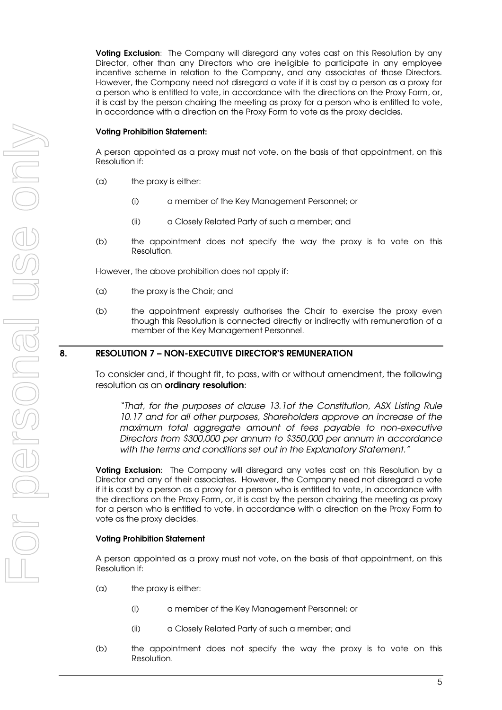**Voting Exclusion**: The Company will disregard any votes cast on this Resolution by any Director, other than any Directors who are ineligible to participate in any employee incentive scheme in relation to the Company, and any associates of those Directors. However, the Company need not disregard a vote if it is cast by a person as a proxy for a person who is entitled to vote, in accordance with the directions on the Proxy Form, or, it is cast by the person chairing the meeting as proxy for a person who is entitled to vote, in accordance with a direction on the Proxy Form to vote as the proxy decides.

#### **Voting Prohibition Statement:**

A person appointed as a proxy must not vote, on the basis of that appointment, on this Resolution if:

- (a) the proxy is either:
	- (i) a member of the Key Management Personnel; or
	- (ii) a Closely Related Party of such a member; and
- (b) the appointment does not specify the way the proxy is to vote on this Resolution.

However, the above prohibition does not apply if:

- (a) the proxy is the Chair; and
- (b) the appointment expressly authorises the Chair to exercise the proxy even though this Resolution is connected directly or indirectly with remuneration of a member of the Key Management Personnel.

#### **8. RESOLUTION 7 – NON-EXECUTIVE DIRECTOR'S REMUNERATION**

To consider and, if thought fit, to pass, with or without amendment, the following resolution as an **ordinary resolution**:

"That, for the purposes of clause 13.1of the Constitution, ASX Listing Rule 10.17 and for all other purposes, Shareholders approve an increase of the maximum total aggregate amount of fees payable to non-executive Directors from \$300,000 per annum to \$350,000 per annum in accordance with the terms and conditions set out in the Explanatory Statement."

**Voting Exclusion**: The Company will disregard any votes cast on this Resolution by a Director and any of their associates. However, the Company need not disregard a vote if it is cast by a person as a proxy for a person who is entitled to vote, in accordance with the directions on the Proxy Form, or, it is cast by the person chairing the meeting as proxy for a person who is entitled to vote, in accordance with a direction on the Proxy Form to vote as the proxy decides.

#### **Voting Prohibition Statement**

A person appointed as a proxy must not vote, on the basis of that appointment, on this Resolution if:

- (a) the proxy is either:
	- (i) a member of the Key Management Personnel; or
	- (ii) a Closely Related Party of such a member; and
- (b) the appointment does not specify the way the proxy is to vote on this Resolution.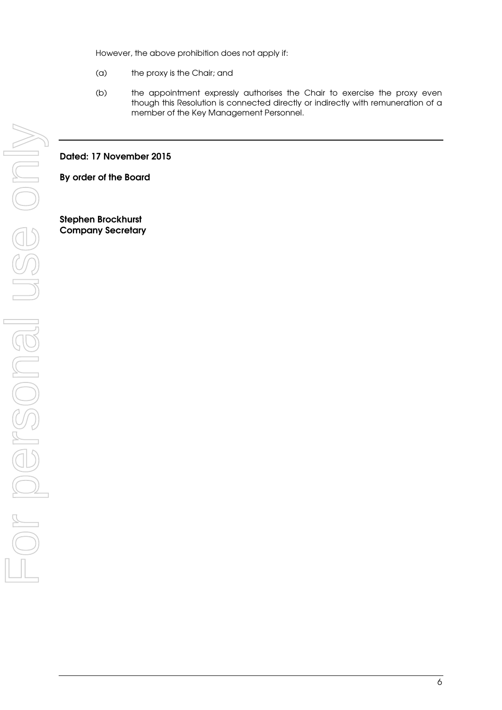However, the above prohibition does not apply if:

- (a) the proxy is the Chair; and
- (b) the appointment expressly authorises the Chair to exercise the proxy even though this Resolution is connected directly or indirectly with remuneration of a member of the Key Management Personnel.

#### **Dated: 17 November 2015**

**By order of the Board** 

**Stephen Brockhurst Company Secretary**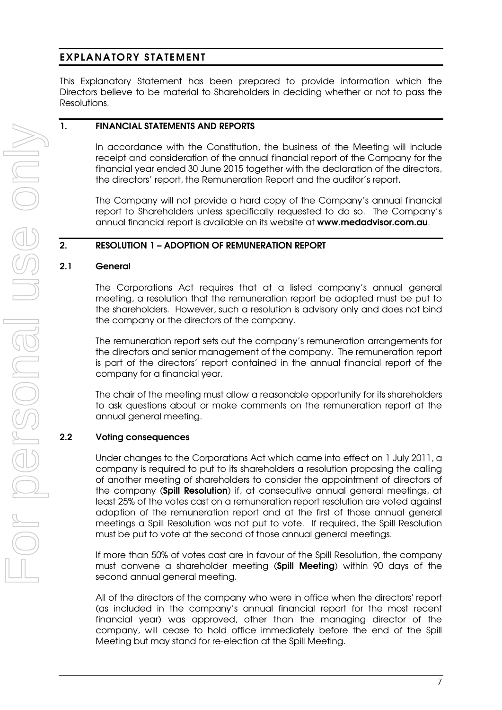## **EXPLANATORY STATEMENT**

This Explanatory Statement has been prepared to provide information which the Directors believe to be material to Shareholders in deciding whether or not to pass the Resolutions.

#### **1. FINANCIAL STATEMENTS AND REPORTS**

In accordance with the Constitution, the business of the Meeting will include receipt and consideration of the annual financial report of the Company for the financial year ended 30 June 2015 together with the declaration of the directors, the directors' report, the Remuneration Report and the auditor's report.

The Company will not provide a hard copy of the Company's annual financial report to Shareholders unless specifically requested to do so. The Company's annual financial report is available on its website at **www.medadvisor.com.au**.

## **2. RESOLUTION 1 – ADOPTION OF REMUNERATION REPORT**

#### **2.1 General**

The Corporations Act requires that at a listed company's annual general meeting, a resolution that the remuneration report be adopted must be put to the shareholders. However, such a resolution is advisory only and does not bind the company or the directors of the company.

The remuneration report sets out the company's remuneration arrangements for the directors and senior management of the company. The remuneration report is part of the directors' report contained in the annual financial report of the company for a financial year.

The chair of the meeting must allow a reasonable opportunity for its shareholders to ask questions about or make comments on the remuneration report at the annual general meeting.

## **2.2 Voting consequences**

Under changes to the Corporations Act which came into effect on 1 July 2011, a company is required to put to its shareholders a resolution proposing the calling of another meeting of shareholders to consider the appointment of directors of the company (**Spill Resolution**) if, at consecutive annual general meetings, at least 25% of the votes cast on a remuneration report resolution are voted against adoption of the remuneration report and at the first of those annual general meetings a Spill Resolution was not put to vote. If required, the Spill Resolution must be put to vote at the second of those annual general meetings.

If more than 50% of votes cast are in favour of the Spill Resolution, the company must convene a shareholder meeting (**Spill Meeting**) within 90 days of the second annual general meeting.

All of the directors of the company who were in office when the directors' report (as included in the company's annual financial report for the most recent financial year) was approved, other than the managing director of the company, will cease to hold office immediately before the end of the Spill Meeting but may stand for re-election at the Spill Meeting.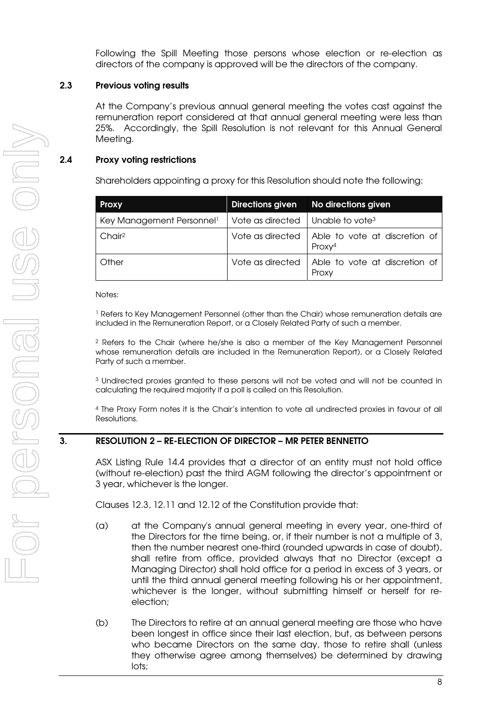Following the Spill Meeting those persons whose election or re-election as directors of the company is approved will be the directors of the company.

#### **2.3 Previous voting results**

At the Company's previous annual general meeting the votes cast against the remuneration report considered at that annual general meeting were less than 25%. Accordingly, the Spill Resolution is not relevant for this Annual General Meeting.

## **2.4 Proxy voting restrictions**

Shareholders appointing a proxy for this Resolution should note the following:

| <b>Proxy</b>                          |                                                          | Directions given No directions given                                   |
|---------------------------------------|----------------------------------------------------------|------------------------------------------------------------------------|
| Key Management Personnel <sup>1</sup> | Vote as directed $\parallel$ Unable to vote <sup>3</sup> |                                                                        |
| Chair <sup>2</sup>                    |                                                          | Vote as directed   Able to vote at discretion of<br>Proxy <sup>4</sup> |
| Other                                 |                                                          | Vote as directed   Able to vote at discretion of<br>Proxy              |

Notes:

1 Refers to Key Management Personnel (other than the Chair) whose remuneration details are included in the Remuneration Report, or a Closely Related Party of such a member.

2 Refers to the Chair (where he/she is also a member of the Key Management Personnel whose remuneration details are included in the Remuneration Report), or a Closely Related Party of such a member.

3 Undirected proxies granted to these persons will not be voted and will not be counted in calculating the required majority if a poll is called on this Resolution.

4 The Proxy Form notes it is the Chair's intention to vote all undirected proxies in favour of all Resolutions.

## **3. RESOLUTION 2 – RE-ELECTION OF DIRECTOR – MR PETER BENNETTO**

ASX Listing Rule 14.4 provides that a director of an entity must not hold office (without re-election) past the third AGM following the director's appointment or 3 year, whichever is the longer.

Clauses 12.3, 12.11 and 12.12 of the Constitution provide that:

- (a) at the Company's annual general meeting in every year, one-third of the Directors for the time being, or, if their number is not a multiple of 3, then the number nearest one-third (rounded upwards in case of doubt), shall retire from office, provided always that no Director (except a Managing Director) shall hold office for a period in excess of 3 years, or until the third annual general meeting following his or her appointment, whichever is the longer, without submitting himself or herself for reelection;
- (b) The Directors to retire at an annual general meeting are those who have been longest in office since their last election, but, as between persons who became Directors on the same day, those to retire shall (unless they otherwise agree among themselves) be determined by drawing lots;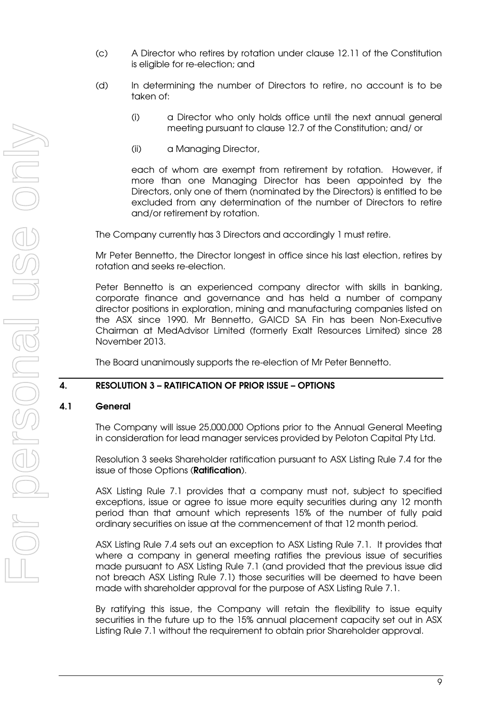- (c) A Director who retires by rotation under clause 12.11 of the Constitution is eligible for re-election; and
- (d) In determining the number of Directors to retire, no account is to be taken of:
	- (i) a Director who only holds office until the next annual general meeting pursuant to clause 12.7 of the Constitution; and/ or
	- (ii) a Managing Director,

each of whom are exempt from retirement by rotation. However, if more than one Managing Director has been appointed by the Directors, only one of them (nominated by the Directors) is entitled to be excluded from any determination of the number of Directors to retire and/or retirement by rotation.

The Company currently has 3 Directors and accordingly 1 must retire.

Mr Peter Bennetto, the Director longest in office since his last election, retires by rotation and seeks re-election.

Peter Bennetto is an experienced company director with skills in banking, corporate finance and governance and has held a number of company director positions in exploration, mining and manufacturing companies listed on the ASX since 1990. Mr Bennetto, GAICD SA Fin has been Non-Executive Chairman at MedAdvisor Limited (formerly Exalt Resources Limited) since 28 November 2013.

The Board unanimously supports the re-election of Mr Peter Bennetto.

#### **4. RESOLUTION 3 – RATIFICATION OF PRIOR ISSUE – OPTIONS**

#### **4.1 General**

The Company will issue 25,000,000 Options prior to the Annual General Meeting in consideration for lead manager services provided by Peloton Capital Pty Ltd.

Resolution 3 seeks Shareholder ratification pursuant to ASX Listing Rule 7.4 for the issue of those Options (**Ratification**).

ASX Listing Rule 7.1 provides that a company must not, subject to specified exceptions, issue or agree to issue more equity securities during any 12 month period than that amount which represents 15% of the number of fully paid ordinary securities on issue at the commencement of that 12 month period.

ASX Listing Rule 7.4 sets out an exception to ASX Listing Rule 7.1. It provides that where a company in general meeting ratifies the previous issue of securities made pursuant to ASX Listing Rule 7.1 (and provided that the previous issue did not breach ASX Listing Rule 7.1) those securities will be deemed to have been made with shareholder approval for the purpose of ASX Listing Rule 7.1.

By ratifying this issue, the Company will retain the flexibility to issue equity securities in the future up to the 15% annual placement capacity set out in ASX Listing Rule 7.1 without the requirement to obtain prior Shareholder approval.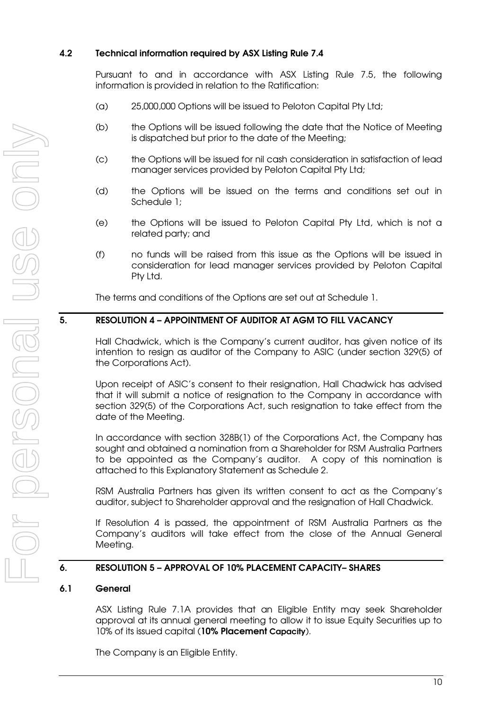## **4.2 Technical information required by ASX Listing Rule 7.4**

Pursuant to and in accordance with ASX Listing Rule 7.5, the following information is provided in relation to the Ratification:

- (a) 25,000,000 Options will be issued to Peloton Capital Pty Ltd;
- (b) the Options will be issued following the date that the Notice of Meeting is dispatched but prior to the date of the Meeting;
- (c) the Options will be issued for nil cash consideration in satisfaction of lead manager services provided by Peloton Capital Pty Ltd;
- (d) the Options will be issued on the terms and conditions set out in Schedule 1;
- (e) the Options will be issued to Peloton Capital Pty Ltd, which is not a related party; and
- (f) no funds will be raised from this issue as the Options will be issued in consideration for lead manager services provided by Peloton Capital Pty Ltd.

The terms and conditions of the Options are set out at Schedule 1.

## **5. RESOLUTION 4 – APPOINTMENT OF AUDITOR AT AGM TO FILL VACANCY**

Hall Chadwick, which is the Company's current auditor, has given notice of its intention to resign as auditor of the Company to ASIC (under section 329(5) of the Corporations Act).

Upon receipt of ASIC's consent to their resignation, Hall Chadwick has advised that it will submit a notice of resignation to the Company in accordance with section 329(5) of the Corporations Act, such resignation to take effect from the date of the Meeting.

In accordance with section 328B(1) of the Corporations Act, the Company has sought and obtained a nomination from a Shareholder for RSM Australia Partners to be appointed as the Company's auditor. A copy of this nomination is attached to this Explanatory Statement as Schedule 2.

RSM Australia Partners has given its written consent to act as the Company's auditor, subject to Shareholder approval and the resignation of Hall Chadwick.

If Resolution 4 is passed, the appointment of RSM Australia Partners as the Company's auditors will take effect from the close of the Annual General Meeting.

## **6. RESOLUTION 5 – APPROVAL OF 10% PLACEMENT CAPACITY– SHARES**

#### **6.1 General**

ASX Listing Rule 7.1A provides that an Eligible Entity may seek Shareholder approval at its annual general meeting to allow it to issue Equity Securities up to 10% of its issued capital (**10% Placement Capacity**).

The Company is an Eligible Entity.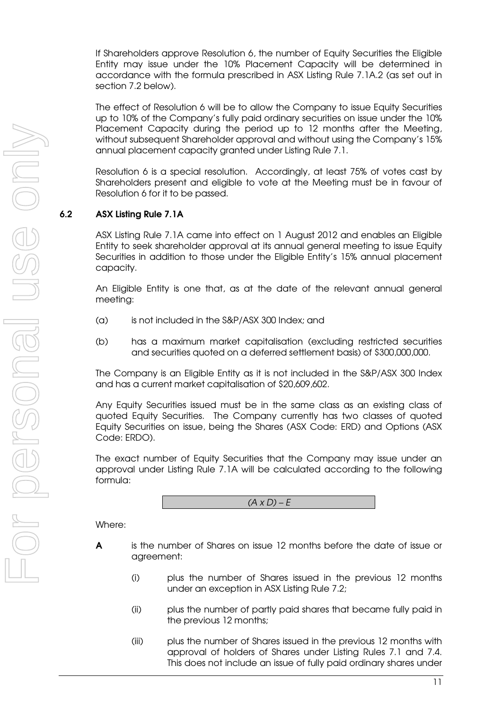If Shareholders approve Resolution 6, the number of Equity Securities the Eligible Entity may issue under the 10% Placement Capacity will be determined in accordance with the formula prescribed in ASX Listing Rule 7.1A.2 (as set out in section 7.2 below).

The effect of Resolution 6 will be to allow the Company to issue Equity Securities up to 10% of the Company's fully paid ordinary securities on issue under the 10% Placement Capacity during the period up to 12 months after the Meeting, without subsequent Shareholder approval and without using the Company's 15% annual placement capacity granted under Listing Rule 7.1.

Resolution 6 is a special resolution. Accordingly, at least 75% of votes cast by Shareholders present and eligible to vote at the Meeting must be in favour of Resolution 6 for it to be passed.

### **6.2 ASX Listing Rule 7.1A**

ASX Listing Rule 7.1A came into effect on 1 August 2012 and enables an Eligible Entity to seek shareholder approval at its annual general meeting to issue Equity Securities in addition to those under the Eligible Entity's 15% annual placement capacity.

An Eligible Entity is one that, as at the date of the relevant annual general meeting:

- (a) is not included in the S&P/ASX 300 Index; and
- (b) has a maximum market capitalisation (excluding restricted securities and securities quoted on a deferred settlement basis) of \$300,000,000.

The Company is an Eligible Entity as it is not included in the S&P/ASX 300 Index and has a current market capitalisation of \$20,609,602.

Any Equity Securities issued must be in the same class as an existing class of quoted Equity Securities. The Company currently has two classes of quoted Equity Securities on issue, being the Shares (ASX Code: ERD) and Options (ASX Code: ERDO).

The exact number of Equity Securities that the Company may issue under an approval under Listing Rule 7.1A will be calculated according to the following formula:



Where:

- **A** is the number of Shares on issue 12 months before the date of issue or agreement:
	- (i) plus the number of Shares issued in the previous 12 months under an exception in ASX Listing Rule 7.2;
	- (ii) plus the number of partly paid shares that became fully paid in the previous 12 months;
	- (iii) plus the number of Shares issued in the previous 12 months with approval of holders of Shares under Listing Rules 7.1 and 7.4. This does not include an issue of fully paid ordinary shares under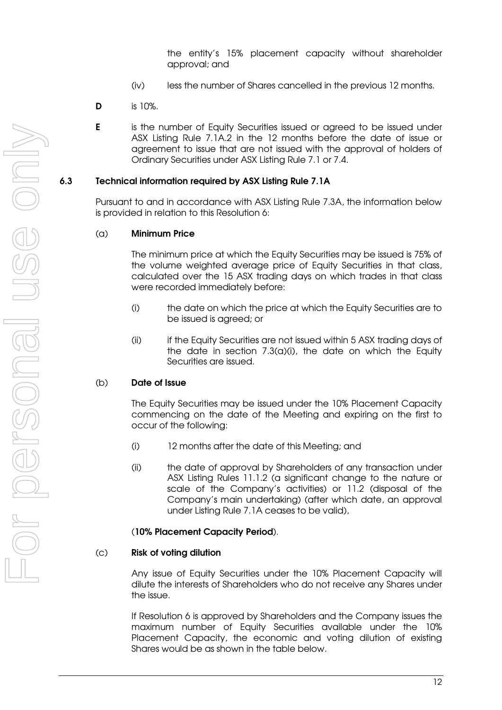the entity's 15% placement capacity without shareholder approval; and

- (iv) less the number of Shares cancelled in the previous 12 months.
- **D** is 10%.
- **E** is the number of Equity Securities issued or agreed to be issued under ASX Listing Rule 7.1A.2 in the 12 months before the date of issue or agreement to issue that are not issued with the approval of holders of Ordinary Securities under ASX Listing Rule 7.1 or 7.4.

#### **6.3 Technical information required by ASX Listing Rule 7.1A**

Pursuant to and in accordance with ASX Listing Rule 7.3A, the information below is provided in relation to this Resolution 6:

#### (a) **Minimum Price**

The minimum price at which the Equity Securities may be issued is 75% of the volume weighted average price of Equity Securities in that class, calculated over the 15 ASX trading days on which trades in that class were recorded immediately before:

- (i) the date on which the price at which the Equity Securities are to be issued is agreed; or
- (ii) if the Equity Securities are not issued within 5 ASX trading days of the date in section 7.3(a)(i), the date on which the Equity Securities are issued.

#### (b) **Date of Issue**

The Equity Securities may be issued under the 10% Placement Capacity commencing on the date of the Meeting and expiring on the first to occur of the following:

- (i) 12 months after the date of this Meeting; and
- (ii) the date of approval by Shareholders of any transaction under ASX Listing Rules 11.1.2 (a significant change to the nature or scale of the Company's activities) or 11.2 (disposal of the Company's main undertaking) (after which date, an approval under Listing Rule 7.1A ceases to be valid),

#### (**10% Placement Capacity Period**).

#### (c) **Risk of voting dilution**

Any issue of Equity Securities under the 10% Placement Capacity will dilute the interests of Shareholders who do not receive any Shares under the issue.

If Resolution 6 is approved by Shareholders and the Company issues the maximum number of Equity Securities available under the 10% Placement Capacity, the economic and voting dilution of existing Shares would be as shown in the table below.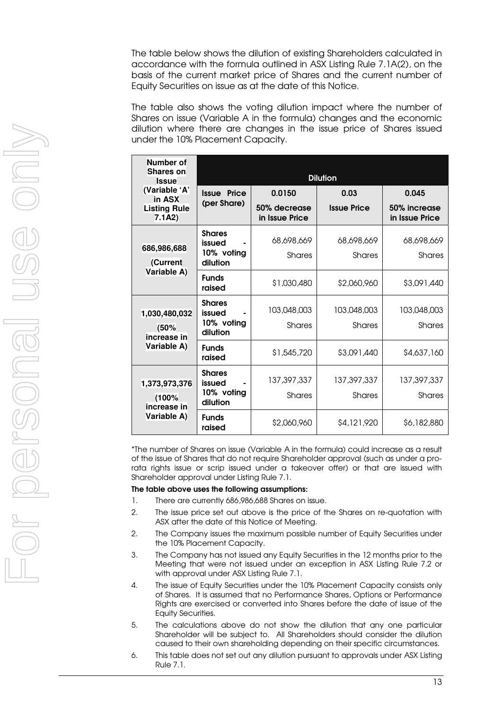The table below shows the dilution of existing Shareholders calculated in accordance with the formula outlined in ASX Listing Rule 7.1A(2), on the basis of the current market price of Shares and the current number of Equity Securities on issue as at the date of this Notice.

The table also shows the voting dilution impact where the number of Shares on issue (Variable A in the formula) changes and the economic dilution where there are changes in the issue price of Shares issued under the 10% Placement Capacity.

| Number of<br><b>Shares on</b><br><b>Issue</b>        | <b>Dilution</b>                   |                                |                    |                                |  |
|------------------------------------------------------|-----------------------------------|--------------------------------|--------------------|--------------------------------|--|
| (Variable 'A'<br>in ASX                              | <b>Issue Price</b><br>(per Share) | 0.0150                         | 0.03               | 0.045                          |  |
| <b>Listing Rule</b><br>7.1A2)                        |                                   | 50% decrease<br>in Issue Price | <b>Issue Price</b> | 50% increase<br>in Issue Price |  |
| 686,986,688<br><b>Current</b><br>Variable A)         | <b>Shares</b><br>issued           | 68,698,669                     | 68,698,669         | 68,698,669                     |  |
|                                                      | 10% voting<br>dilution            | <b>Shares</b>                  | <b>Shares</b>      | Shares                         |  |
|                                                      | <b>Funds</b><br>raised            | \$1,030,480                    | \$2,060,960        | \$3,091,440                    |  |
| 1,030,480,032<br>(50%<br>increase in<br>Variable A)  | <b>Shares</b><br>issued           | 103,048,003                    | 103,048,003        | 103,048,003                    |  |
|                                                      | 10% voting<br>dilution            | <b>Shares</b>                  | <b>Shares</b>      | Shares                         |  |
|                                                      | <b>Funds</b><br>raised            | \$1,545,720                    | \$3,091,440        | \$4,637,160                    |  |
| 1,373,973,376<br>(100%<br>increase in<br>Variable A) | <b>Shares</b><br>issued           | 137, 397, 337                  | 137, 397, 337      | 137, 397, 337                  |  |
|                                                      | 10% voting<br>dilution            | <b>Shares</b>                  | <b>Shares</b>      | <b>Shares</b>                  |  |
|                                                      | <b>Funds</b><br>raised            | \$2,060,960                    | \$4,121,920        | \$6,182,880                    |  |

\*The number of Shares on issue (Variable A in the formula) could increase as a result of the issue of Shares that do not require Shareholder approval (such as under a prorata rights issue or scrip issued under a takeover offer) or that are issued with Shareholder approval under Listing Rule 7.1.

#### **The table above uses the following assumptions:**

- 1. There are currently 686,986,688 Shares on issue.
- 2. The issue price set out above is the price of the Shares on re-quotation with ASX after the date of this Notice of Meeting.
- 2. The Company issues the maximum possible number of Equity Securities under the 10% Placement Capacity.
- 3. The Company has not issued any Equity Securities in the 12 months prior to the Meeting that were not issued under an exception in ASX Listing Rule 7.2 or with approval under ASX Listing Rule 7.1.
- 4. The issue of Equity Securities under the 10% Placement Capacity consists only of Shares. It is assumed that no Performance Shares, Options or Performance Rights are exercised or converted into Shares before the date of issue of the Equity Securities.
- 5. The calculations above do not show the dilution that any one particular Shareholder will be subject to. All Shareholders should consider the dilution caused to their own shareholding depending on their specific circumstances.
- 6. This table does not set out any dilution pursuant to approvals under ASX Listing Rule 7.1.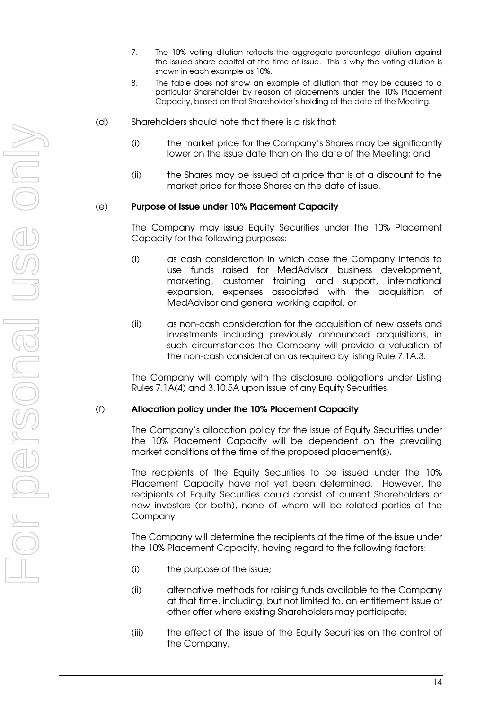- 7. The 10% voting dilution reflects the aggregate percentage dilution against the issued share capital at the time of issue. This is why the voting dilution is shown in each example as 10%.
- 8. The table does not show an example of dilution that may be caused to a particular Shareholder by reason of placements under the 10% Placement Capacity, based on that Shareholder's holding at the date of the Meeting.
- (d) Shareholders should note that there is a risk that:
	- (i) the market price for the Company's Shares may be significantly lower on the issue date than on the date of the Meeting; and
	- (ii) the Shares may be issued at a price that is at a discount to the market price for those Shares on the date of issue.

#### (e) **Purpose of Issue under 10% Placement Capacity**

The Company may issue Equity Securities under the 10% Placement Capacity for the following purposes:

- (i) as cash consideration in which case the Company intends to use funds raised for MedAdvisor business development, marketing, customer training and support, international expansion, expenses associated with the acquisition of MedAdvisor and general working capital; or
- (ii) as non-cash consideration for the acquisition of new assets and investments including previously announced acquisitions, in such circumstances the Company will provide a valuation of the non-cash consideration as required by listing Rule 7.1A.3.

The Company will comply with the disclosure obligations under Listing Rules 7.1A(4) and 3.10.5A upon issue of any Equity Securities.

#### (f) **Allocation policy under the 10% Placement Capacity**

The Company's allocation policy for the issue of Equity Securities under the 10% Placement Capacity will be dependent on the prevailing market conditions at the time of the proposed placement(s).

The recipients of the Equity Securities to be issued under the 10% Placement Capacity have not yet been determined. However, the recipients of Equity Securities could consist of current Shareholders or new investors (or both), none of whom will be related parties of the Company.

The Company will determine the recipients at the time of the issue under the 10% Placement Capacity, having regard to the following factors:

- (i) the purpose of the issue;
- (ii) alternative methods for raising funds available to the Company at that time, including, but not limited to, an entitlement issue or other offer where existing Shareholders may participate;
- (iii) the effect of the issue of the Equity Securities on the control of the Company;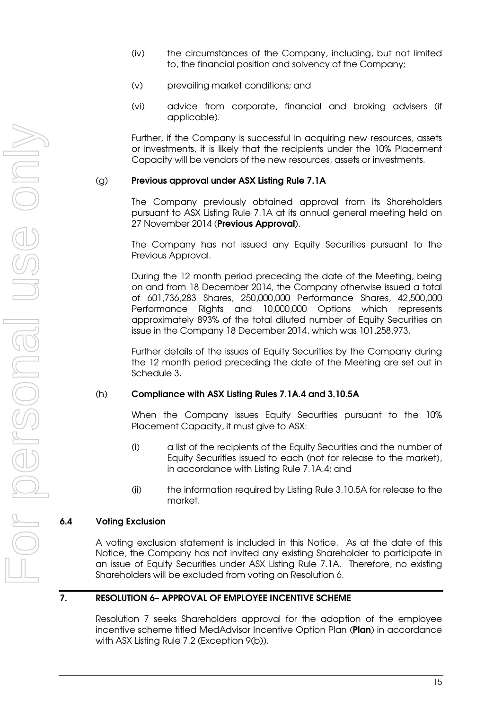- (iv) the circumstances of the Company, including, but not limited to, the financial position and solvency of the Company;
- (v) prevailing market conditions; and
- (vi) advice from corporate, financial and broking advisers (if applicable).

Further, if the Company is successful in acquiring new resources, assets or investments, it is likely that the recipients under the 10% Placement Capacity will be vendors of the new resources, assets or investments.

#### (g) **Previous approval under ASX Listing Rule 7.1A**

The Company previously obtained approval from its Shareholders pursuant to ASX Listing Rule 7.1A at its annual general meeting held on 27 November 2014 (**Previous Approval**).

The Company has not issued any Equity Securities pursuant to the Previous Approval.

During the 12 month period preceding the date of the Meeting, being on and from 18 December 2014, the Company otherwise issued a total of 601,736,283 Shares, 250,000,000 Performance Shares, 42,500,000 Performance Rights and 10,000,000 Options which represents approximately 893% of the total diluted number of Equity Securities on issue in the Company 18 December 2014, which was 101,258,973.

Further details of the issues of Equity Securities by the Company during the 12 month period preceding the date of the Meeting are set out in Schedule 3.

#### (h) **Compliance with ASX Listing Rules 7.1A.4 and 3.10.5A**

When the Company issues Equity Securities pursuant to the 10% Placement Capacity, it must give to ASX:

- (i) a list of the recipients of the Equity Securities and the number of Equity Securities issued to each (not for release to the market), in accordance with Listing Rule 7.1A.4; and
- (ii) the information required by Listing Rule 3.10.5A for release to the market.

#### **6.4 Voting Exclusion**

A voting exclusion statement is included in this Notice. As at the date of this Notice, the Company has not invited any existing Shareholder to participate in an issue of Equity Securities under ASX Listing Rule 7.1A. Therefore, no existing Shareholders will be excluded from voting on Resolution 6.

## **7. RESOLUTION 6– APPROVAL OF EMPLOYEE INCENTIVE SCHEME**

Resolution 7 seeks Shareholders approval for the adoption of the employee incentive scheme titled MedAdvisor Incentive Option Plan (**Plan**) in accordance with ASX Listing Rule 7.2 (Exception 9(b)).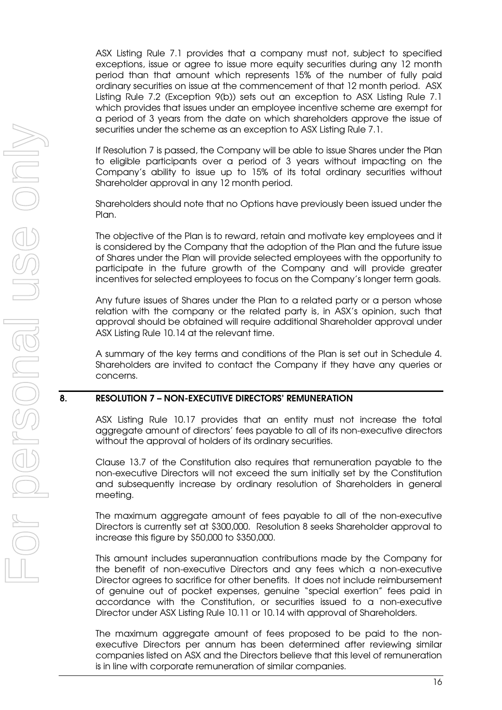ASX Listing Rule 7.1 provides that a company must not, subject to specified exceptions, issue or agree to issue more equity securities during any 12 month period than that amount which represents 15% of the number of fully paid ordinary securities on issue at the commencement of that 12 month period. ASX Listing Rule 7.2 (Exception 9(b)) sets out an exception to ASX Listing Rule 7.1 which provides that issues under an employee incentive scheme are exempt for a period of 3 years from the date on which shareholders approve the issue of securities under the scheme as an exception to ASX Listing Rule 7.1.

If Resolution 7 is passed, the Company will be able to issue Shares under the Plan to eligible participants over a period of 3 years without impacting on the Company's ability to issue up to 15% of its total ordinary securities without Shareholder approval in any 12 month period.

Shareholders should note that no Options have previously been issued under the Plan.

The objective of the Plan is to reward, retain and motivate key employees and it is considered by the Company that the adoption of the Plan and the future issue of Shares under the Plan will provide selected employees with the opportunity to participate in the future growth of the Company and will provide greater incentives for selected employees to focus on the Company's longer term goals.

Any future issues of Shares under the Plan to a related party or a person whose relation with the company or the related party is, in ASX's opinion, such that approval should be obtained will require additional Shareholder approval under ASX Listing Rule 10.14 at the relevant time.

A summary of the key terms and conditions of the Plan is set out in Schedule 4. Shareholders are invited to contact the Company if they have any queries or concerns.

#### **8. RESOLUTION 7 – NON-EXECUTIVE DIRECTORS' REMUNERATION**

ASX Listing Rule 10.17 provides that an entity must not increase the total aggregate amount of directors' fees payable to all of its non-executive directors without the approval of holders of its ordinary securities.

Clause 13.7 of the Constitution also requires that remuneration payable to the non-executive Directors will not exceed the sum initially set by the Constitution and subsequently increase by ordinary resolution of Shareholders in general meeting.

The maximum aggregate amount of fees payable to all of the non-executive Directors is currently set at \$300,000. Resolution 8 seeks Shareholder approval to increase this figure by \$50,000 to \$350,000.

This amount includes superannuation contributions made by the Company for the benefit of non-executive Directors and any fees which a non-executive Director agrees to sacrifice for other benefits. It does not include reimbursement of genuine out of pocket expenses, genuine "special exertion" fees paid in accordance with the Constitution, or securities issued to a non-executive Director under ASX Listing Rule 10.11 or 10.14 with approval of Shareholders.

The maximum aggregate amount of fees proposed to be paid to the nonexecutive Directors per annum has been determined after reviewing similar companies listed on ASX and the Directors believe that this level of remuneration is in line with corporate remuneration of similar companies.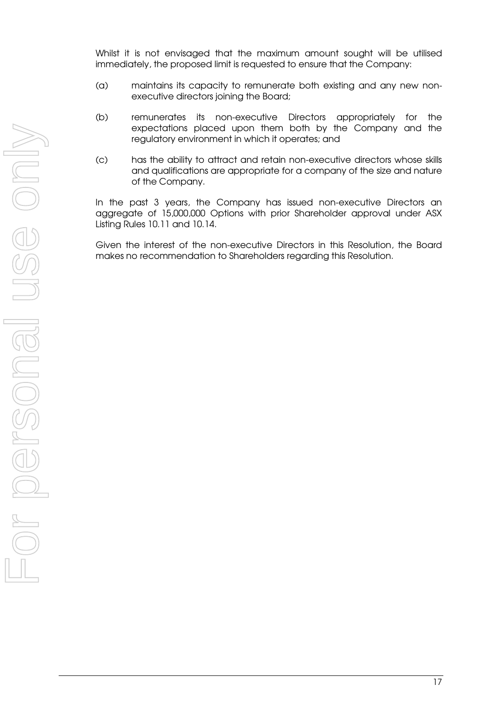Whilst it is not envisaged that the maximum amount sought will be utilised immediately, the proposed limit is requested to ensure that the Company:

- (a) maintains its capacity to remunerate both existing and any new nonexecutive directors joining the Board;
- (b) remunerates its non-executive Directors appropriately for the expectations placed upon them both by the Company and the regulatory environment in which it operates; and
- (c) has the ability to attract and retain non-executive directors whose skills and qualifications are appropriate for a company of the size and nature of the Company.

In the past 3 years, the Company has issued non-executive Directors an aggregate of 15,000,000 Options with prior Shareholder approval under ASX Listing Rules 10.11 and 10.14.

Given the interest of the non-executive Directors in this Resolution, the Board makes no recommendation to Shareholders regarding this Resolution.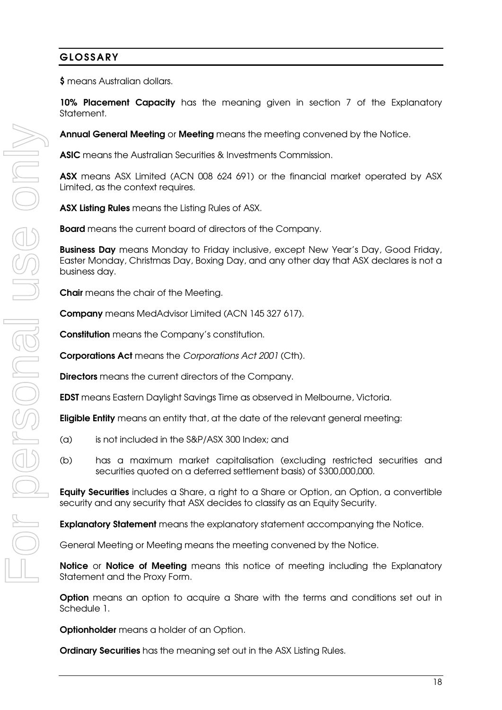## **GLOSSARY**

**\$** means Australian dollars.

**10% Placement Capacity** has the meaning given in section 7 of the Explanatory Statement.

**Annual General Meeting** or **Meeting** means the meeting convened by the Notice.

**ASIC** means the Australian Securities & Investments Commission.

**ASX** means ASX Limited (ACN 008 624 691) or the financial market operated by ASX Limited, as the context requires.

**ASX Listing Rules** means the Listing Rules of ASX.

**Board** means the current board of directors of the Company.

**Business Day** means Monday to Friday inclusive, except New Year's Day, Good Friday, Easter Monday, Christmas Day, Boxing Day, and any other day that ASX declares is not a business day.

**Chair** means the chair of the Meeting.

**Company** means MedAdvisor Limited (ACN 145 327 617).

**Constitution** means the Company's constitution.

**Corporations Act** means the Corporations Act 2001 (Cth).

**Directors** means the current directors of the Company.

**EDST** means Eastern Daylight Savings Time as observed in Melbourne, Victoria.

**Eligible Entity** means an entity that, at the date of the relevant general meeting:

- (a) is not included in the S&P/ASX 300 Index; and
- (b) has a maximum market capitalisation (excluding restricted securities and securities quoted on a deferred settlement basis) of \$300,000,000.

**Equity Securities** includes a Share, a right to a Share or Option, an Option, a convertible security and any security that ASX decides to classify as an Equity Security.

**Explanatory Statement** means the explanatory statement accompanying the Notice.

General Meeting or Meeting means the meeting convened by the Notice.

**Notice** or **Notice of Meeting** means this notice of meeting including the Explanatory Statement and the Proxy Form.

**Option** means an option to acquire a Share with the terms and conditions set out in Schedule 1.

**Optionholder** means a holder of an Option.

**Ordinary Securities** has the meaning set out in the ASX Listing Rules.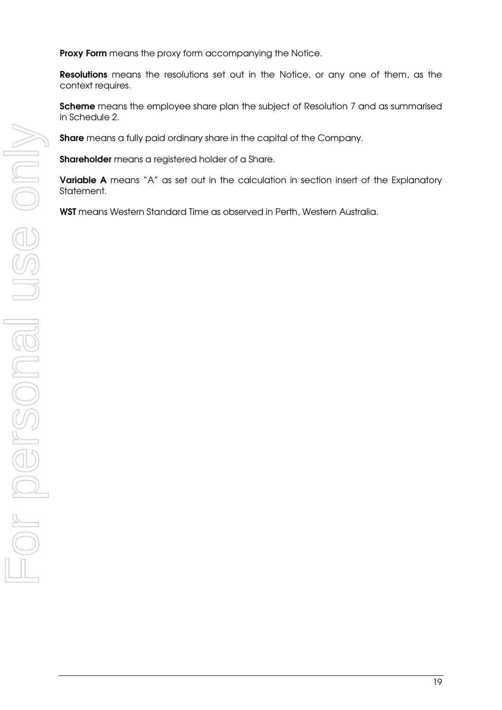**Proxy Form** means the proxy form accompanying the Notice.

**Resolutions** means the resolutions set out in the Notice, or any one of them, as the context requires.

**Scheme** means the employee share plan the subject of Resolution 7 and as summarised in Schedule 2.

**Share** means a fully paid ordinary share in the capital of the Company.

**Shareholder** means a registered holder of a Share.

**Variable A** means "A" as set out in the calculation in section insert of the Explanatory Statement.

**WST** means Western Standard Time as observed in Perth, Western Australia.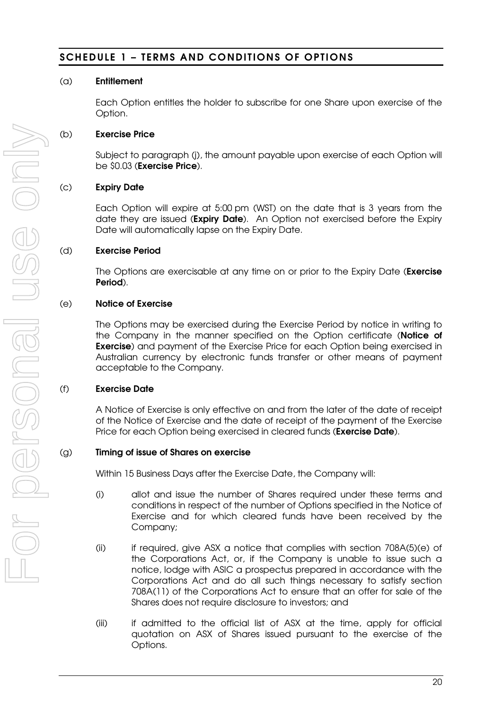## **SCHEDULE 1 – TERMS AND CONDITIONS OF OPTIONS**

#### (a) **Entitlement**

Each Option entitles the holder to subscribe for one Share upon exercise of the Option.

### (b) **Exercise Price**

Subject to paragraph (j), the amount payable upon exercise of each Option will be \$0.03 (**Exercise Price**).

## (c) **Expiry Date**

Each Option will expire at 5:00 pm (WST) on the date that is 3 years from the date they are issued (**Expiry Date**). An Option not exercised before the Expiry Date will automatically lapse on the Expiry Date.

### (d) **Exercise Period**

The Options are exercisable at any time on or prior to the Expiry Date (**Exercise Period**).

### (e) **Notice of Exercise**

The Options may be exercised during the Exercise Period by notice in writing to the Company in the manner specified on the Option certificate (**Notice of Exercise**) and payment of the Exercise Price for each Option being exercised in Australian currency by electronic funds transfer or other means of payment acceptable to the Company.

#### (f) **Exercise Date**

A Notice of Exercise is only effective on and from the later of the date of receipt of the Notice of Exercise and the date of receipt of the payment of the Exercise Price for each Option being exercised in cleared funds (**Exercise Date**).

#### (g) **Timing of issue of Shares on exercise**

Within 15 Business Days after the Exercise Date, the Company will:

- (i) allot and issue the number of Shares required under these terms and conditions in respect of the number of Options specified in the Notice of Exercise and for which cleared funds have been received by the Company;
- (ii) if required, give ASX a notice that complies with section 708A(5)(e) of the Corporations Act, or, if the Company is unable to issue such a notice, lodge with ASIC a prospectus prepared in accordance with the Corporations Act and do all such things necessary to satisfy section 708A(11) of the Corporations Act to ensure that an offer for sale of the Shares does not require disclosure to investors; and
- (iii) if admitted to the official list of ASX at the time, apply for official quotation on ASX of Shares issued pursuant to the exercise of the Options.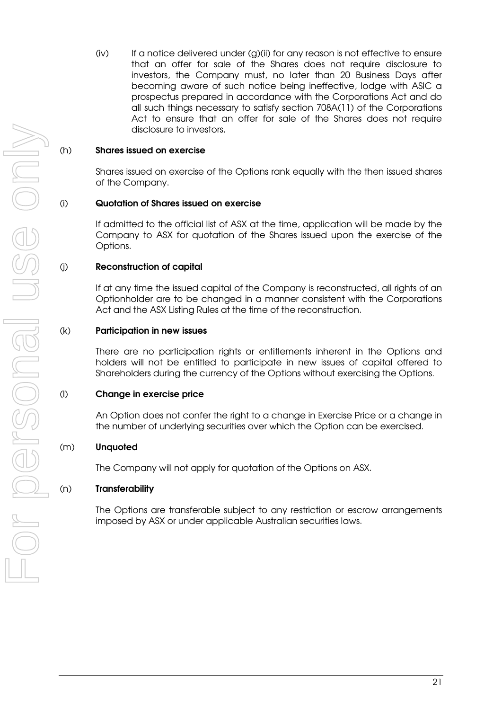$(iv)$  If a notice delivered under  $(q)$ (ii) for any reason is not effective to ensure that an offer for sale of the Shares does not require disclosure to investors, the Company must, no later than 20 Business Days after becoming aware of such notice being ineffective, lodge with ASIC a prospectus prepared in accordance with the Corporations Act and do all such things necessary to satisfy section 708A(11) of the Corporations Act to ensure that an offer for sale of the Shares does not require disclosure to investors.

#### (h) **Shares issued on exercise**

Shares issued on exercise of the Options rank equally with the then issued shares of the Company.

#### (i) **Quotation of Shares issued on exercise**

If admitted to the official list of ASX at the time, application will be made by the Company to ASX for quotation of the Shares issued upon the exercise of the Options.

#### (j) **Reconstruction of capital**

If at any time the issued capital of the Company is reconstructed, all rights of an Optionholder are to be changed in a manner consistent with the Corporations Act and the ASX Listing Rules at the time of the reconstruction.

#### (k) **Participation in new issues**

There are no participation rights or entitlements inherent in the Options and holders will not be entitled to participate in new issues of capital offered to Shareholders during the currency of the Options without exercising the Options.

#### (l) **Change in exercise price**

An Option does not confer the right to a change in Exercise Price or a change in the number of underlying securities over which the Option can be exercised.

#### (m) **Unquoted**

The Company will not apply for quotation of the Options on ASX.

#### (n) **Transferability**

The Options are transferable subject to any restriction or escrow arrangements imposed by ASX or under applicable Australian securities laws.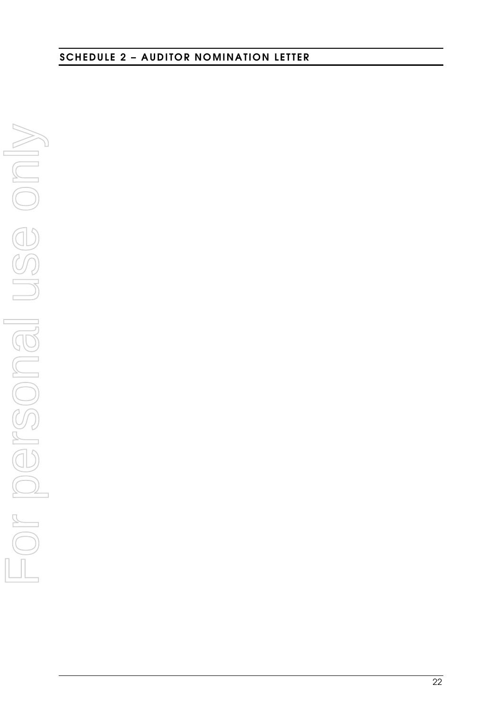**SCHEDULE 2 – AUDITOR NOMINATION LETTER** 

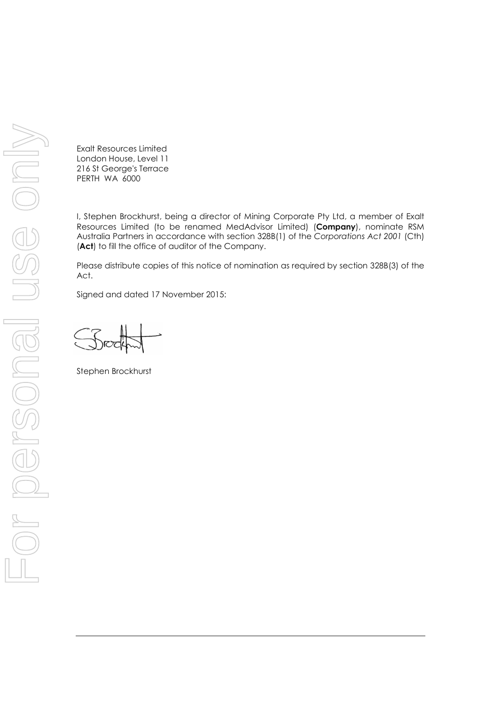Exalt Resources Limited London House, Level 11 216 St George's Terrace PERTH WA 6000

I, Stephen Brockhurst, being a director of Mining Corporate Pty Ltd, a member of Exalt Resources Limited (to be renamed MedAdvisor Limited) (**Company**), nominate RSM Australia Partners in accordance with section 328B(1) of the Corporations Act 2001 (Cth) **(Act)** to fill the office of auditor of the Company.

Please distribute copies of this notice of nomination as required by section 328B(3) of the Act.

Signed and dated 17 November 2015:

Stephen Brockhurst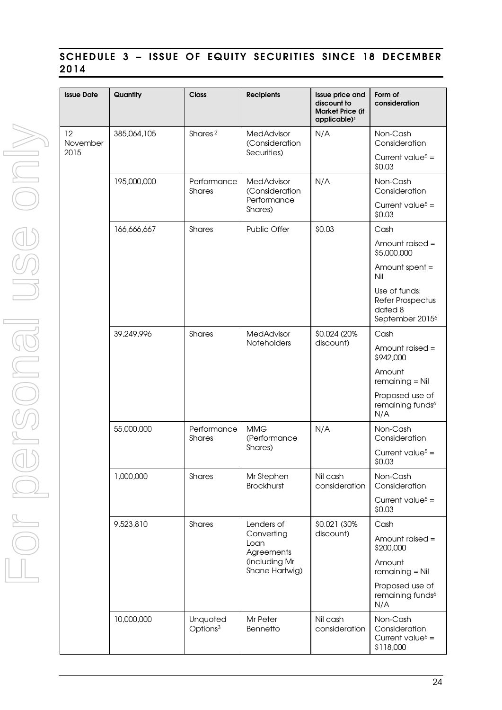## **SCHEDULE 3 – ISSUE OF EQUITY SECURITIES SINCE 18 DECEMBER 2014**

| <b>Issue Date</b>      | Quantity    | <b>Class</b>                     | <b>Recipients</b>                                                                 | Issue price and<br>discount to<br><b>Market Price (if</b><br>applicable) <sup>1</sup> | Form of<br>consideration                                                    |
|------------------------|-------------|----------------------------------|-----------------------------------------------------------------------------------|---------------------------------------------------------------------------------------|-----------------------------------------------------------------------------|
| 12<br>November<br>2015 | 385,064,105 | Shares <sup>2</sup>              | <b>MedAdvisor</b><br>(Consideration                                               | N/A                                                                                   | Non-Cash<br>Consideration                                                   |
|                        |             |                                  | Securities)                                                                       |                                                                                       | Current value <sup><math>5</math></sup> =<br>\$0.03                         |
|                        | 195,000,000 | Performance<br><b>Shares</b>     | <b>MedAdvisor</b><br>(Consideration<br>Performance<br>Shares)                     | N/A                                                                                   | Non-Cash<br>Consideration                                                   |
|                        |             |                                  |                                                                                   |                                                                                       | Current value <sup>5</sup> =<br>\$0.03                                      |
|                        | 166,666,667 | Shares                           | Public Offer                                                                      | \$0.03                                                                                | Cash                                                                        |
|                        |             |                                  |                                                                                   |                                                                                       | Amount raised =<br>\$5,000,000                                              |
|                        |             |                                  |                                                                                   |                                                                                       | Amount spent =<br>Nil                                                       |
|                        |             |                                  |                                                                                   |                                                                                       | Use of funds:<br>Refer Prospectus<br>dated 8<br>September 2015 <sup>6</sup> |
|                        | 39,249,996  | Shares                           | MedAdvisor                                                                        | \$0.024 (20%)                                                                         | Cash                                                                        |
|                        |             |                                  | Noteholders                                                                       | discount)                                                                             | Amount raised =<br>\$942,000                                                |
|                        |             |                                  |                                                                                   |                                                                                       | Amount<br>$remaining = Nil$                                                 |
|                        |             |                                  |                                                                                   |                                                                                       | Proposed use of<br>remaining funds <sup>6</sup><br>N/A                      |
|                        | 55,000,000  | Performance<br>Shares            | <b>MMG</b><br>(Performance<br>Shares)                                             | N/A                                                                                   | Non-Cash<br>Consideration                                                   |
|                        |             |                                  |                                                                                   |                                                                                       | Current value <sup>5</sup> =<br>\$0.03                                      |
|                        | 1,000,000   | Shares                           | Mr Stephen<br><b>Brockhurst</b>                                                   | Nil cash<br>consideration                                                             | Non-Cash<br>Consideration                                                   |
|                        |             |                                  |                                                                                   |                                                                                       | Current value <sup>5</sup> =<br>\$0.03                                      |
|                        | 9,523,810   | Shares                           | Lenders of<br>Converting<br>Loan<br>Agreements<br>(including Mr<br>Shane Hartwig) | \$0.021 (30%<br>discount)                                                             | Cash                                                                        |
|                        |             |                                  |                                                                                   |                                                                                       | Amount raised =<br>\$200,000                                                |
|                        |             |                                  |                                                                                   |                                                                                       | Amount<br>$remaining = Nil$                                                 |
|                        |             |                                  |                                                                                   |                                                                                       | Proposed use of<br>remaining funds <sup>6</sup><br>N/A                      |
|                        | 10,000,000  | Unquoted<br>Options <sup>3</sup> | Mr Peter<br>Bennetto                                                              | Nil cash<br>consideration                                                             | Non-Cash<br>Consideration<br>Current value <sup>5</sup> =<br>\$118,000      |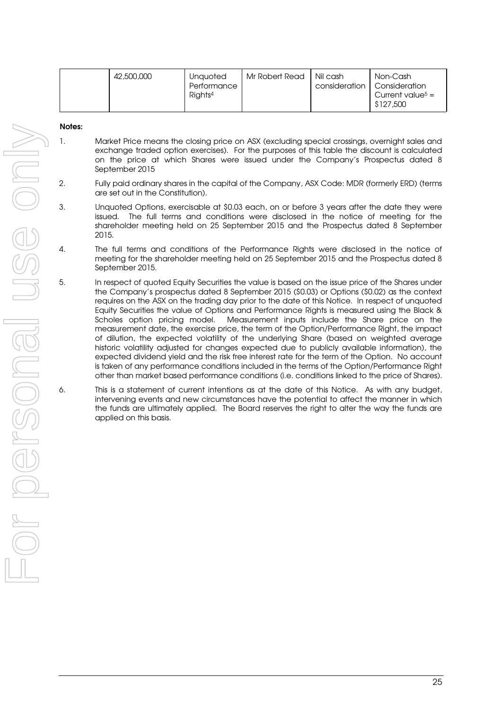| 42,500,000 | Mr Robert Read<br>Unquoted<br>Performance<br>Rights <sup>4</sup> | Nil cash | Non-Cash<br>consideration   Consideration<br>Current value <sup>5</sup> =<br>\$127,500 |
|------------|------------------------------------------------------------------|----------|----------------------------------------------------------------------------------------|
|------------|------------------------------------------------------------------|----------|----------------------------------------------------------------------------------------|

#### **Notes:**

- 1. Market Price means the closing price on ASX (excluding special crossings, overnight sales and exchange traded option exercises). For the purposes of this table the discount is calculated on the price at which Shares were issued under the Company's Prospectus dated 8 September 2015
- 2. Fully paid ordinary shares in the capital of the Company, ASX Code: MDR (formerly ERD) (terms are set out in the Constitution).
- 3. Unquoted Options, exercisable at \$0.03 each, on or before 3 years after the date they were issued. The full terms and conditions were disclosed in the notice of meeting for the shareholder meeting held on 25 September 2015 and the Prospectus dated 8 September 2015.
- 4. The full terms and conditions of the Performance Rights were disclosed in the notice of meeting for the shareholder meeting held on 25 September 2015 and the Prospectus dated 8 September 2015.
- 5. In respect of quoted Equity Securities the value is based on the issue price of the Shares under the Company's prospectus dated 8 September 2015 (\$0.03) or Options (\$0.02) as the context requires on the ASX on the trading day prior to the date of this Notice. In respect of unquoted Equity Securities the value of Options and Performance Rights is measured using the Black & Scholes option pricing model. Measurement inputs include the Share price on the measurement date, the exercise price, the term of the Option/Performance Right, the impact of dilution, the expected volatility of the underlying Share (based on weighted average historic volatility adjusted for changes expected due to publicly available information), the expected dividend yield and the risk free interest rate for the term of the Option. No account is taken of any performance conditions included in the terms of the Option/Performance Right other than market based performance conditions (i.e. conditions linked to the price of Shares).
- 6. This is a statement of current intentions as at the date of this Notice. As with any budget, intervening events and new circumstances have the potential to affect the manner in which the funds are ultimately applied. The Board reserves the right to alter the way the funds are applied on this basis.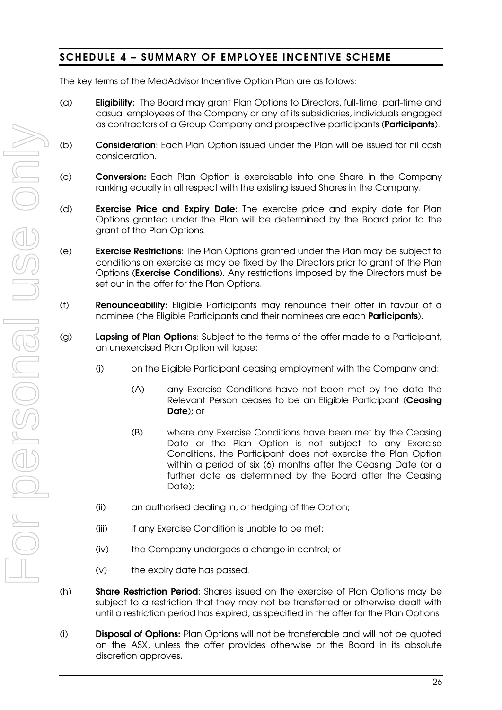## **SCHEDULE 4 – SUMMARY OF EMPLOYEE INCENTIVE SCHEME**

The key terms of the MedAdvisor Incentive Option Plan are as follows:

- (a) **Eligibility**: The Board may grant Plan Options to Directors, full-time, part-time and casual employees of the Company or any of its subsidiaries, individuals engaged as contractors of a Group Company and prospective participants (**Participants**).
- (b) **Consideration**: Each Plan Option issued under the Plan will be issued for nil cash consideration.
- (c) **Conversion:** Each Plan Option is exercisable into one Share in the Company ranking equally in all respect with the existing issued Shares in the Company.
- (d) **Exercise Price and Expiry Date**: The exercise price and expiry date for Plan Options granted under the Plan will be determined by the Board prior to the grant of the Plan Options.
- (e) **Exercise Restrictions**: The Plan Options granted under the Plan may be subject to conditions on exercise as may be fixed by the Directors prior to grant of the Plan Options (**Exercise Conditions**). Any restrictions imposed by the Directors must be set out in the offer for the Plan Options.
- (f) **Renounceability:** Eligible Participants may renounce their offer in favour of a nominee (the Eligible Participants and their nominees are each **Participants**).
- (g) **Lapsing of Plan Options**: Subject to the terms of the offer made to a Participant, an unexercised Plan Option will lapse:
	- (i) on the Eligible Participant ceasing employment with the Company and:
		- (A) any Exercise Conditions have not been met by the date the Relevant Person ceases to be an Eligible Participant (**Ceasing Date**); or
		- (B) where any Exercise Conditions have been met by the Ceasing Date or the Plan Option is not subject to any Exercise Conditions, the Participant does not exercise the Plan Option within a period of six (6) months after the Ceasing Date (or a further date as determined by the Board after the Ceasing Date);
	- (ii) an authorised dealing in, or hedging of the Option;
	- (iii) if any Exercise Condition is unable to be met;
	- (iv) the Company undergoes a change in control; or
	- (v) the expiry date has passed.
- (h) **Share Restriction Period**: Shares issued on the exercise of Plan Options may be subject to a restriction that they may not be transferred or otherwise dealt with until a restriction period has expired, as specified in the offer for the Plan Options.
- (i) **Disposal of Options:** Plan Options will not be transferable and will not be quoted on the ASX, unless the offer provides otherwise or the Board in its absolute discretion approves.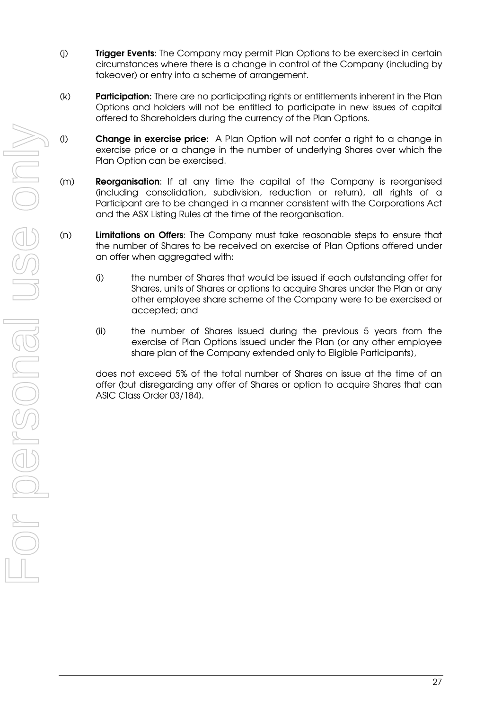- (j) **Trigger Events**: The Company may permit Plan Options to be exercised in certain circumstances where there is a change in control of the Company (including by takeover) or entry into a scheme of arrangement.
- (k) **Participation:** There are no participating rights or entitlements inherent in the Plan Options and holders will not be entitled to participate in new issues of capital offered to Shareholders during the currency of the Plan Options.
- (l) **Change in exercise price**: A Plan Option will not confer a right to a change in exercise price or a change in the number of underlying Shares over which the Plan Option can be exercised.
- (m) **Reorganisation**: If at any time the capital of the Company is reorganised (including consolidation, subdivision, reduction or return), all rights of a Participant are to be changed in a manner consistent with the Corporations Act and the ASX Listing Rules at the time of the reorganisation.
- (n) **Limitations on Offers**: The Company must take reasonable steps to ensure that the number of Shares to be received on exercise of Plan Options offered under an offer when aggregated with:
	- (i) the number of Shares that would be issued if each outstanding offer for Shares, units of Shares or options to acquire Shares under the Plan or any other employee share scheme of the Company were to be exercised or accepted; and
	- (ii) the number of Shares issued during the previous 5 years from the exercise of Plan Options issued under the Plan (or any other employee share plan of the Company extended only to Eligible Participants),

does not exceed 5% of the total number of Shares on issue at the time of an offer (but disregarding any offer of Shares or option to acquire Shares that can ASIC Class Order 03/184).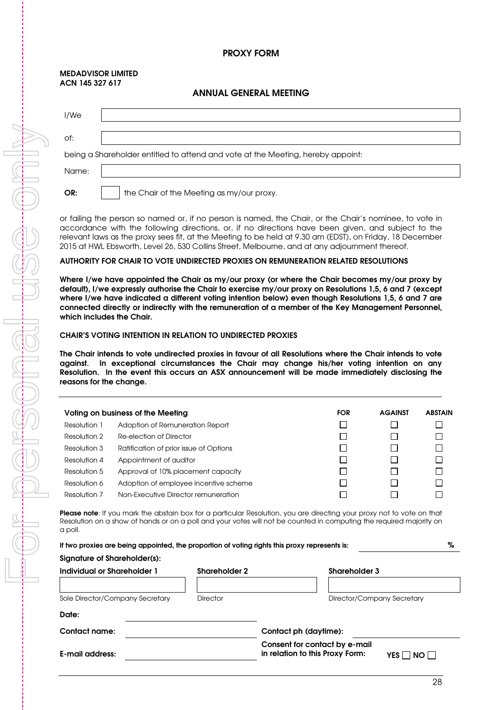#### **PROXY FORM**

#### **MEDADVISOR LIMITED ACN 145 327 617**

#### **ANNUAL GENERAL MEETING**

| I/We  |                                                                                 |
|-------|---------------------------------------------------------------------------------|
| of:   |                                                                                 |
|       | being a Shareholder entitled to attend and vote at the Meeting, hereby appoint: |
| Name: |                                                                                 |
| OR:   | the Chair of the Meeting as my/our proxy.                                       |

or failing the person so named or, if no person is named, the Chair, or the Chair's nominee, to vote in accordance with the following directions, or, if no directions have been given, and subject to the relevant laws as the proxy sees fit, at the Meeting to be held at 9.30 am (EDST), on Friday, 18 December 2015 at HWL Ebsworth, Level 26, 530 Collins Street, Melbourne, and at any adjournment thereof.

#### **AUTHORITY FOR CHAIR TO VOTE UNDIRECTED PROXIES ON REMUNERATION RELATED RESOLUTIONS**

**Where I/we have appointed the Chair as my/our proxy (or where the Chair becomes my/our proxy by default), I/we expressly authorise the Chair to exercise my/our proxy on Resolutions 1,5, 6 and 7 (except where I/we have indicated a different voting intention below) even though Resolutions 1,5, 6 and 7 are connected directly or indirectly with the remuneration of a member of the Key Management Personnel, which includes the Chair.** 

#### **CHAIR'S VOTING INTENTION IN RELATION TO UNDIRECTED PROXIES**

**The Chair intends to vote undirected proxies in favour of all Resolutions where the Chair intends to vote against. In exceptional circumstances the Chair may change his/her voting intention on any Resolution. In the event this occurs an ASX announcement will be made immediately disclosing the reasons for the change.** 

|              | Voting on business of the Meeting      | <b>FOR</b> | <b>AGAINST</b> | <b>ABSTAIN</b> |
|--------------|----------------------------------------|------------|----------------|----------------|
| Resolution 1 | Adoption of Remuneration Report        |            |                |                |
| Resolution 2 | Re-election of Director                |            |                |                |
| Resolution 3 | Ratification of prior issue of Options |            |                |                |
| Resolution 4 | Appointment of auditor                 |            |                |                |
| Resolution 5 | Approval of 10% placement capacity     |            |                |                |
| Resolution 6 | Adoption of employee incentive scheme  |            |                |                |
| Resolution 7 | Non-Executive Director remuneration    |            |                |                |

**Please note**: If you mark the abstain box for a particular Resolution, you are directing your proxy not to vote on that Resolution on a show of hands or on a poll and your votes will not be counted in computing the required majority on a poll.

| If two proxies are being appointed, the proportion of voting rights this proxy represents is: |                      | %                                                                                  |
|-----------------------------------------------------------------------------------------------|----------------------|------------------------------------------------------------------------------------|
| Signature of Shareholder(s):                                                                  |                      |                                                                                    |
| Individual or Shareholder 1                                                                   | <b>Shareholder 2</b> | <b>Shareholder 3</b>                                                               |
|                                                                                               |                      |                                                                                    |
| Sole Director/Company Secretary                                                               | <b>Director</b>      | Director/Company Secretary                                                         |
| Date:                                                                                         |                      |                                                                                    |
| Contact name:                                                                                 |                      | Contact ph (daytime):                                                              |
| E-mail address:                                                                               |                      | Consent for contact by e-mail<br>in relation to this Proxy Form:<br>YES II<br>NO I |